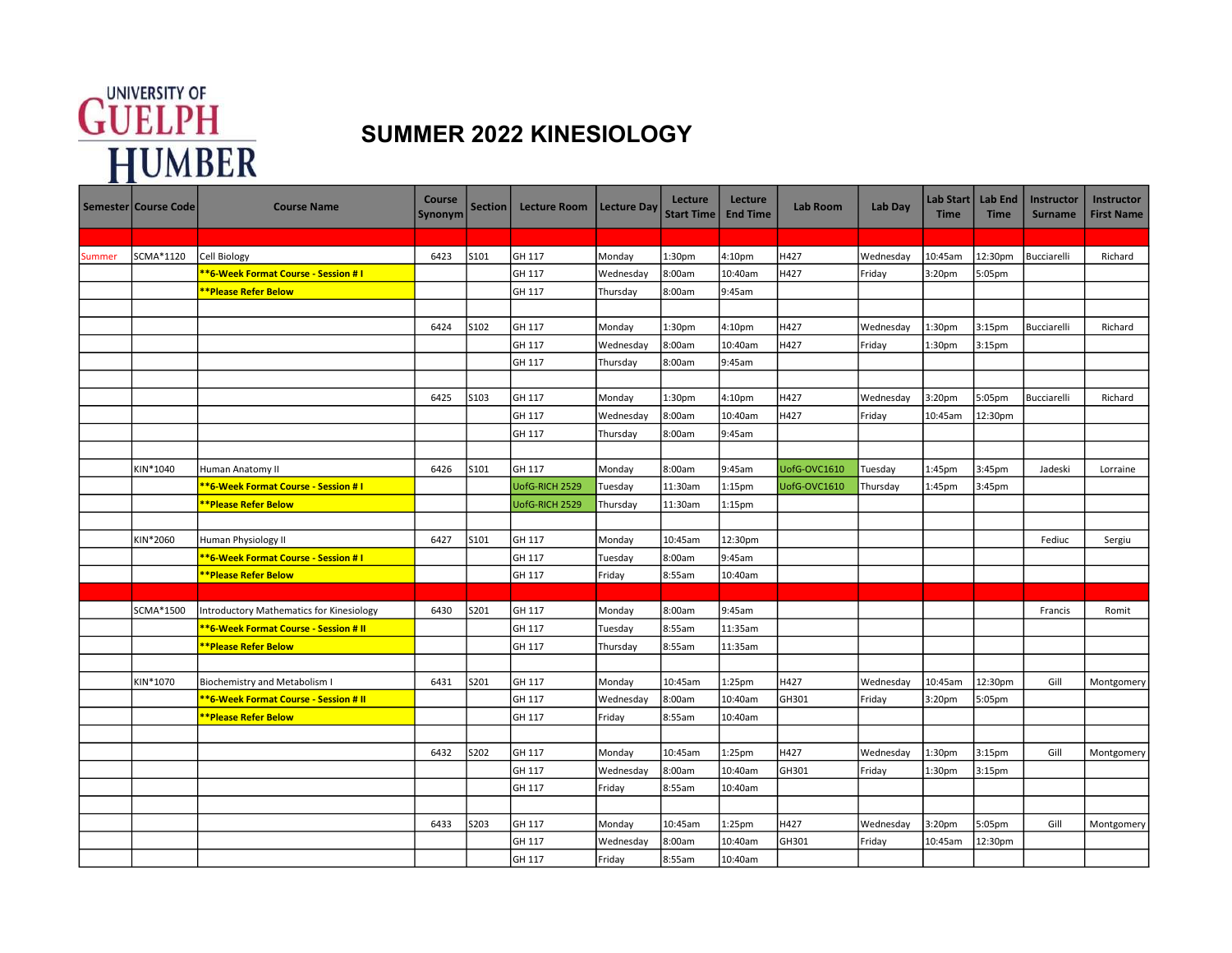## **GUELPH**<br>
HUMBER SUMMER 2022 KINESIOLOGY

|        | Semester   Course Code | <b>Course Name</b>                        | <b>Course</b><br>Synonym | <b>Section</b> | <b>Lecture Room</b> | <b>Lecture Day</b> | Lecture<br><b>Start Time</b> | Lecture<br><b>End Time</b> | <b>Lab Room</b> | Lab Day   | Lab Start  <br><b>Time</b> | Lab End<br><b>Time</b> | <b>Instructor</b><br><b>Surname</b> | Instructor<br><b>First Name</b> |
|--------|------------------------|-------------------------------------------|--------------------------|----------------|---------------------|--------------------|------------------------------|----------------------------|-----------------|-----------|----------------------------|------------------------|-------------------------------------|---------------------------------|
|        |                        |                                           |                          |                |                     |                    |                              |                            |                 |           |                            |                        |                                     |                                 |
| Summer | SCMA*1120              | <b>Cell Biology</b>                       | 6423                     | S101           | GH 117              | Monday             | 1:30pm                       | 4:10pm                     | H427            | Wednesday | 10:45am                    | 12:30pm                | Bucciarelli                         | Richard                         |
|        |                        | *6-Week Format Course - Session # I       |                          |                | GH 117              | Wednesday          | 8:00am                       | 10:40am                    | H427            | Friday    | 3:20pm                     | 5:05pm                 |                                     |                                 |
|        |                        | **Please Refer Below                      |                          |                | GH 117              | Thursday           | 8:00am                       | 9:45am                     |                 |           |                            |                        |                                     |                                 |
|        |                        |                                           |                          |                |                     |                    |                              |                            |                 |           |                            |                        |                                     |                                 |
|        |                        |                                           | 6424                     | S102           | GH 117              | Monday             | 1:30pm                       | 4:10pm                     | H427            | Wednesday | 1:30pm                     | 3:15pm                 | Bucciarelli                         | Richard                         |
|        |                        |                                           |                          |                | GH 117              | Wednesday          | 8:00am                       | 10:40am                    | H427            | Friday    | 1:30pm                     | 3:15pm                 |                                     |                                 |
|        |                        |                                           |                          |                | GH 117              | Thursday           | 8:00am                       | 9:45am                     |                 |           |                            |                        |                                     |                                 |
|        |                        |                                           |                          |                |                     |                    |                              |                            |                 |           |                            |                        |                                     |                                 |
|        |                        |                                           | 6425                     | S103           | GH 117              | Monday             | 1:30pm                       | 4:10pm                     | H427            | Wednesday | 3:20 <sub>pm</sub>         | 5:05pm                 | Bucciarelli                         | Richard                         |
|        |                        |                                           |                          |                | GH 117              | Wednesday          | 8:00am                       | 10:40am                    | H427            | Friday    | 10:45am                    | 12:30pm                |                                     |                                 |
|        |                        |                                           |                          |                | GH 117              | Thursday           | 8:00am                       | 9:45am                     |                 |           |                            |                        |                                     |                                 |
|        |                        |                                           |                          |                |                     |                    |                              |                            |                 |           |                            |                        |                                     |                                 |
|        | KIN*1040               | Human Anatomy II                          | 6426                     | S101           | GH 117              | Monday             | 8:00am                       | 9:45am                     | UofG-OVC1610    | Tuesday   | 1:45pm                     | 3:45pm                 | Jadeski                             | Lorraine                        |
|        |                        | <b>*6-Week Format Course - Session #1</b> |                          |                | UofG-RICH 2529      | Tuesday            | 11:30am                      | 1:15pm                     | UofG-OVC1610    | Thursday  | 1:45pm                     | 3:45pm                 |                                     |                                 |
|        |                        | <b>*Please Refer Below</b>                |                          |                | UofG-RICH 2529      | Thursday           | 11:30am                      | 1:15 <sub>pm</sub>         |                 |           |                            |                        |                                     |                                 |
|        |                        |                                           |                          |                |                     |                    |                              |                            |                 |           |                            |                        |                                     |                                 |
|        | KIN*2060               | Human Physiology II                       | 6427                     | S101           | GH 117              | Monday             | 10:45am                      | 12:30pm                    |                 |           |                            |                        | Fediuc                              | Sergiu                          |
|        |                        | *6-Week Format Course - Session # I       |                          |                | GH 117              | Tuesday            | 8:00am                       | 9:45am                     |                 |           |                            |                        |                                     |                                 |
|        |                        | **Please Refer Below                      |                          |                | GH 117              | Friday             | 8:55am                       | 10:40am                    |                 |           |                            |                        |                                     |                                 |
|        |                        |                                           |                          |                |                     |                    |                              |                            |                 |           |                            |                        |                                     |                                 |
|        | SCMA*1500              | Introductory Mathematics for Kinesiology  | 6430                     | S201           | GH 117              | Monday             | 8:00am                       | 9:45am                     |                 |           |                            |                        | Francis                             | Romit                           |
|        |                        | *6-Week Format Course - Session # II      |                          |                | GH 117              | Tuesday            | 8:55am                       | 11:35am                    |                 |           |                            |                        |                                     |                                 |
|        |                        | **Please Refer Below                      |                          |                | GH 117              | Thursday           | 8:55am                       | 11:35am                    |                 |           |                            |                        |                                     |                                 |
|        |                        |                                           |                          |                |                     |                    |                              |                            |                 |           |                            |                        |                                     |                                 |
|        | KIN*1070               | Biochemistry and Metabolism I             | 6431                     | S201           | GH 117              | Monday             | 10:45am                      | 1:25pm                     | H427            | Wednesday | 10:45am                    | 12:30pm                | Gill                                | Montgomery                      |
|        |                        | *6-Week Format Course - Session # II      |                          |                | GH 117              | Wednesday          | 8:00am                       | 10:40am                    | GH301           | Friday    | 3:20pm                     | 5:05pm                 |                                     |                                 |
|        |                        | <b>*Please Refer Below</b>                |                          |                | GH 117              | Friday             | 8:55am                       | 10:40am                    |                 |           |                            |                        |                                     |                                 |
|        |                        |                                           |                          |                |                     |                    |                              |                            |                 |           |                            |                        |                                     |                                 |
|        |                        |                                           | 6432                     | S202           | GH 117              | Monday             | 10:45am                      | $1:25$ pm                  | H427            | Wednesday | 1:30 <sub>pm</sub>         | 3:15 <sub>pm</sub>     | Gill                                | Montgomery                      |
|        |                        |                                           |                          |                | GH 117              | Wednesday          | 8:00am                       | 10:40am                    | GH301           | Friday    | 1:30pm                     | 3:15pm                 |                                     |                                 |
|        |                        |                                           |                          |                | GH 117              | Friday             | 8:55am                       | 10:40am                    |                 |           |                            |                        |                                     |                                 |
|        |                        |                                           |                          |                |                     |                    |                              |                            |                 |           |                            |                        |                                     |                                 |
|        |                        |                                           | 6433                     | S203           | GH 117              | Monday             | 10:45am                      | 1:25pm                     | H427            | Wednesday | 3:20 <sub>pm</sub>         | 5:05pm                 | Gill                                | Montgomery                      |
|        |                        |                                           |                          |                | GH 117              | Wednesday          | 8:00am                       | 10:40am                    | GH301           | Friday    | 10:45am                    | 12:30pm                |                                     |                                 |
|        |                        |                                           |                          |                | GH 117              | Friday             | 8:55am                       | 10:40am                    |                 |           |                            |                        |                                     |                                 |